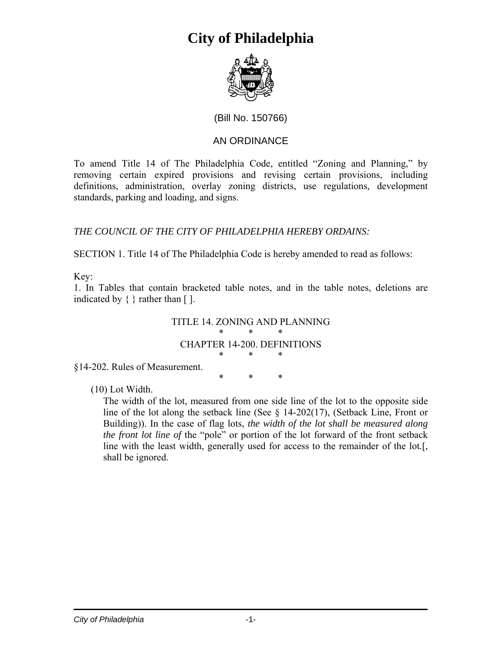

### (Bill No. 150766)

### AN ORDINANCE

To amend Title 14 of The Philadelphia Code, entitled "Zoning and Planning," by removing certain expired provisions and revising certain provisions, including definitions, administration, overlay zoning districts, use regulations, development standards, parking and loading, and signs.

### *THE COUNCIL OF THE CITY OF PHILADELPHIA HEREBY ORDAINS:*

SECTION 1. Title 14 of The Philadelphia Code is hereby amended to read as follows:

Key:

1. In Tables that contain bracketed table notes, and in the table notes, deletions are indicated by  $\{\}$  rather than  $\lceil \cdot \rceil$ .

### TITLE 14. ZONING AND PLANNING \* \* \* CHAPTER 14-200. DEFINITIONS \* \* \*

§14-202. Rules of Measurement.

\* \* \*

(10) Lot Width.

The width of the lot, measured from one side line of the lot to the opposite side line of the lot along the setback line (See § 14-202(17), (Setback Line, Front or Building)). In the case of flag lots, *the width of the lot shall be measured along the front lot line of* the "pole" or portion of the lot forward of the front setback line with the least width, generally used for access to the remainder of the lot*.*[, shall be ignored.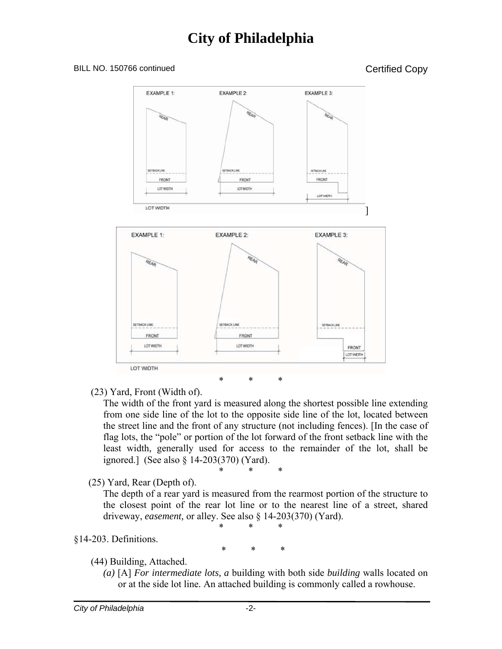#### BILL NO. 150766 continued Copy



(23) Yard, Front (Width of).

The width of the front yard is measured along the shortest possible line extending from one side line of the lot to the opposite side line of the lot, located between the street line and the front of any structure (not including fences). [In the case of flag lots, the "pole" or portion of the lot forward of the front setback line with the least width, generally used for access to the remainder of the lot, shall be ignored.] (See also § 14-203(370) (Yard).

$$
\ast \qquad \ast \qquad \ast
$$

(25) Yard, Rear (Depth of).

The depth of a rear yard is measured from the rearmost portion of the structure to the closest point of the rear lot line or to the nearest line of a street, shared driveway, *easement,* or alley. See also § 14-203(370) (Yard).

### §14-203. Definitions.

\* \* \*

\* \* \*

### (44) Building, Attached.

*(a)* [A] *For intermediate lots, a* building with both side *building* walls located on or at the side lot line*.* An attached building is commonly called a rowhouse.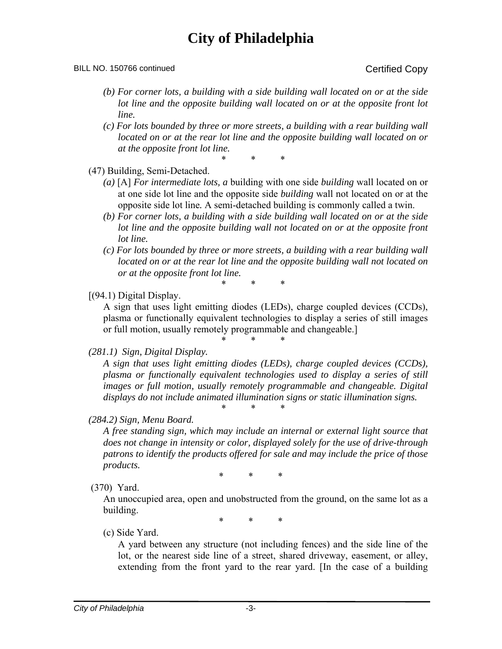#### BILL NO. 150766 continued Copy

- *(b) For corner lots, a building with a side building wall located on or at the side lot line and the opposite building wall located on or at the opposite front lot line.*
- *(c) For lots bounded by three or more streets, a building with a rear building wall located on or at the rear lot line and the opposite building wall located on or at the opposite front lot line.*

\* \* \*

#### (47) Building, Semi-Detached.

- *(a)* [A] *For intermediate lots, a* building with one side *building* wall located on or at one side lot line and the opposite side *building* wall not located on or at the opposite side lot line*.* A semi-detached building is commonly called a twin.
- *(b) For corner lots, a building with a side building wall located on or at the side lot line and the opposite building wall not located on or at the opposite front lot line.*
- *(c) For lots bounded by three or more streets, a building with a rear building wall located on or at the rear lot line and the opposite building wall not located on or at the opposite front lot line.*

### \* \* \*

### [(94.1) Digital Display.

A sign that uses light emitting diodes (LEDs), charge coupled devices (CCDs), plasma or functionally equivalent technologies to display a series of still images or full motion, usually remotely programmable and changeable.]

\* \* \*

### *(281.1) Sign, Digital Display.*

*A sign that uses light emitting diodes (LEDs), charge coupled devices (CCDs), plasma or functionally equivalent technologies used to display a series of still images or full motion, usually remotely programmable and changeable. Digital displays do not include animated illumination signs or static illumination signs.*  \* \* \*

### *(284.2) Sign, Menu Board.*

*A free standing sign, which may include an internal or external light source that does not change in intensity or color, displayed solely for the use of drive-through patrons to identify the products offered for sale and may include the price of those products.* 

\* \* \*

(370) Yard.

An unoccupied area, open and unobstructed from the ground, on the same lot as a building.

\* \* \*

### (c) Side Yard.

A yard between any structure (not including fences) and the side line of the lot, or the nearest side line of a street, shared driveway, easement, or alley, extending from the front yard to the rear yard. [In the case of a building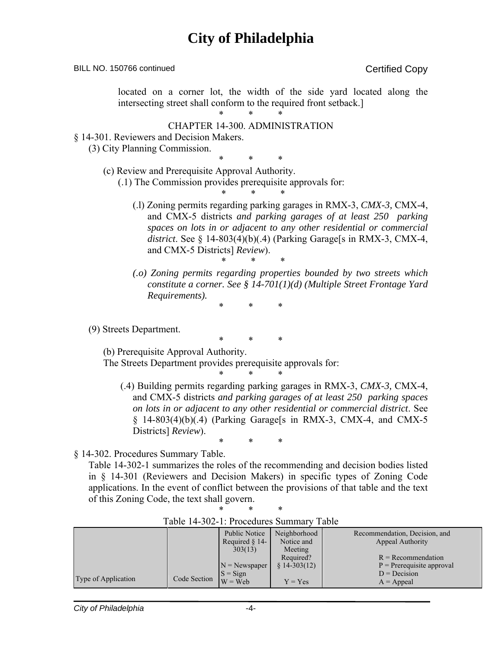| BILL NO. 150766 continued                                                                                                                                                                                                                                                                                                                                                                                  | <b>Certified Copy</b>                                                                                                                                                                                                                                                                                       |
|------------------------------------------------------------------------------------------------------------------------------------------------------------------------------------------------------------------------------------------------------------------------------------------------------------------------------------------------------------------------------------------------------------|-------------------------------------------------------------------------------------------------------------------------------------------------------------------------------------------------------------------------------------------------------------------------------------------------------------|
| intersecting street shall conform to the required front setback.]                                                                                                                                                                                                                                                                                                                                          | located on a corner lot, the width of the side yard located along the                                                                                                                                                                                                                                       |
| <b>CHAPTER 14-300. ADMINISTRATION</b><br>§ 14-301. Reviewers and Decision Makers.<br>(3) City Planning Commission.                                                                                                                                                                                                                                                                                         |                                                                                                                                                                                                                                                                                                             |
| *<br>*                                                                                                                                                                                                                                                                                                                                                                                                     | *                                                                                                                                                                                                                                                                                                           |
| (c) Review and Prerequisite Approval Authority.<br>(.1) The Commission provides prerequisite approvals for:                                                                                                                                                                                                                                                                                                |                                                                                                                                                                                                                                                                                                             |
| and CMX-5 Districts] Review).                                                                                                                                                                                                                                                                                                                                                                              | (.1) Zoning permits regarding parking garages in RMX-3, CMX-3, CMX-4,<br>and CMX-5 districts and parking garages of at least 250 parking<br>spaces on lots in or adjacent to any other residential or commercial<br>district. See § 14-803(4)(b)(.4) (Parking Garage[s in RMX-3, CMX-4,<br>∗                |
| Requirements).                                                                                                                                                                                                                                                                                                                                                                                             | (.o) Zoning permits regarding properties bounded by two streets which<br>constitute a corner. See § 14-701(1)(d) (Multiple Street Frontage Yard                                                                                                                                                             |
| *<br>*                                                                                                                                                                                                                                                                                                                                                                                                     | *                                                                                                                                                                                                                                                                                                           |
| (9) Streets Department.<br>*<br>*                                                                                                                                                                                                                                                                                                                                                                          | *                                                                                                                                                                                                                                                                                                           |
| (b) Prerequisite Approval Authority.<br>The Streets Department provides prerequisite approvals for:                                                                                                                                                                                                                                                                                                        |                                                                                                                                                                                                                                                                                                             |
| Districts] Review).<br>∗                                                                                                                                                                                                                                                                                                                                                                                   | (.4) Building permits regarding parking garages in RMX-3, CMX-3, CMX-4,<br>and CMX-5 districts and parking garages of at least 250 parking spaces<br>on lots in or adjacent to any other residential or commercial district. See<br>$\S$ 14-803(4)(b)(.4) (Parking Garage[s in RMX-3, CMX-4, and CMX-5<br>∗ |
| § 14-302. Procedures Summary Table.<br>Table 14-302-1 summarizes the roles of the recommending and decision bodies listed<br>in § 14-301 (Reviewers and Decision Makers) in specific types of Zoning Code<br>applications. In the event of conflict between the provisions of that table and the text<br>of this Zoning Code, the text shall govern.<br>*<br>*<br>Table 14-302-1: Procedures Summary Table | *                                                                                                                                                                                                                                                                                                           |
| Public Notice<br>Required $§$ 14-<br>303(13)<br>$N =$ Newspaper                                                                                                                                                                                                                                                                                                                                            | Neighborhood<br>Recommendation, Decision, and<br>Notice and<br>Appeal Authority<br>Meeting<br>$R = Recommendation$<br>Required?<br>$P = Prerequires approach$<br>$$14-303(12)$                                                                                                                              |

Type of Application Code Section

 $Y = Yes$ 

 $D = Decision$  $A = Appeal$ 

 $S = Sign$  $W = Web$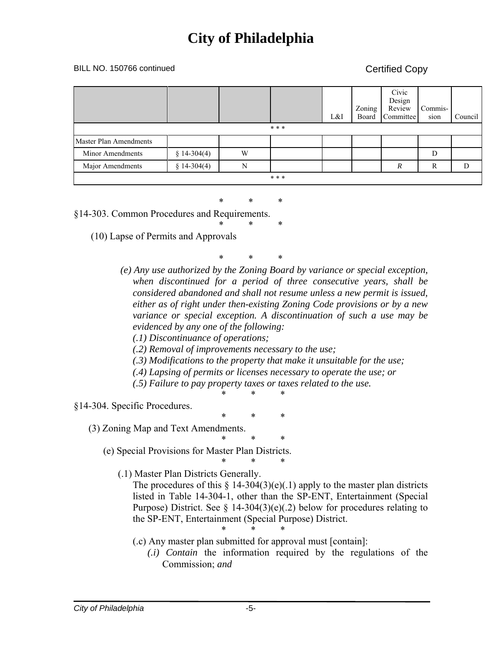#### BILL NO. 150766 continued Certified Copy

|                               |              |   |  | L&I | Zoning<br>Board | Civic<br>Design<br>Review<br>Committee | Commis-<br>sion | Council |  |
|-------------------------------|--------------|---|--|-----|-----------------|----------------------------------------|-----------------|---------|--|
| * * *                         |              |   |  |     |                 |                                        |                 |         |  |
| <b>Master Plan Amendments</b> |              |   |  |     |                 |                                        |                 |         |  |
| Minor Amendments              | $$14-304(4)$ | W |  |     |                 |                                        | D               |         |  |
| Major Amendments              | $$14-304(4)$ | N |  |     |                 | R                                      | $\mathbb{R}$    | D       |  |
| * * *                         |              |   |  |     |                 |                                        |                 |         |  |

\* \* \*

§14-303. Common Procedures and Requirements. \* \* \*

(10) Lapse of Permits and Approvals

\* \* \*

- *(e) Any use authorized by the Zoning Board by variance or special exception, when discontinued for a period of three consecutive years, shall be considered abandoned and shall not resume unless a new permit is issued, either as of right under then-existing Zoning Code provisions or by a new variance or special exception. A discontinuation of such a use may be evidenced by any one of the following:* 
	- *(.1) Discontinuance of operations;*
	- *(.2) Removal of improvements necessary to the use;*
	- *(.3) Modifications to the property that make it unsuitable for the use;*
	- *(.4) Lapsing of permits or licenses necessary to operate the use; or*
	- *(.5) Failure to pay property taxes or taxes related to the use.*  \* \* \*

#### §14-304. Specific Procedures.

- \* \* \*
- (3) Zoning Map and Text Amendments.

\* \* \* (e) Special Provisions for Master Plan Districts.

\* \* \*

(.1) Master Plan Districts Generally.

The procedures of this  $\S 14-304(3)(e)(.1)$  apply to the master plan districts listed in Table 14-304-1, other than the SP-ENT, Entertainment (Special Purpose) District. See  $\S$  14-304(3)(e)(.2) below for procedures relating to the SP-ENT, Entertainment (Special Purpose) District.

- \* \* \* (.c) Any master plan submitted for approval must [contain]:
	- *(.i) Contain* the information required by the regulations of the Commission; *and*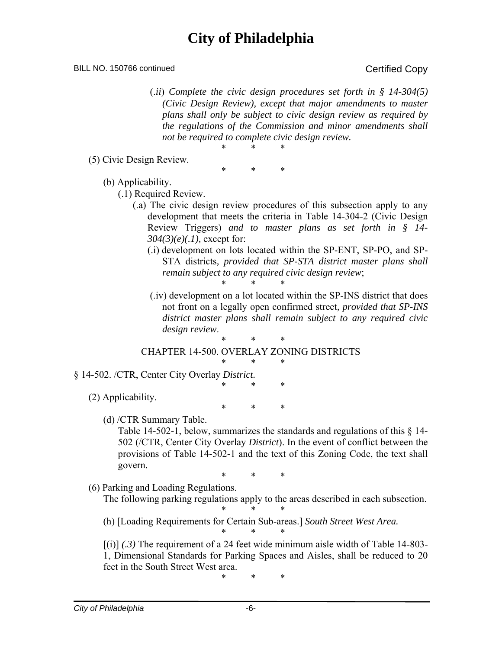BILL NO. 150766 continued Copy

 (.*ii*) *Complete the civic design procedures set forth in § 14-304(5) (Civic Design Review), except that major amendments to master plans shall only be subject to civic design review as required by the regulations of the Commission and minor amendments shall not be required to complete civic design review.*  \* \* \*

(5) Civic Design Review.

\* \* \*

(b) Applicability.

(.1) Required Review.

- (.a) The civic design review procedures of this subsection apply to any development that meets the criteria in Table 14-304-2 (Civic Design Review Triggers) *and to master plans as set forth in § 14- 304(3)(e)(.1),* except for:
	- (.i) development on lots located within the SP-ENT, SP-PO, and SP-STA districts*, provided that SP-STA district master plans shall remain subject to any required civic design review*; \* \* \*
	- (.iv) development on a lot located within the SP-INS district that does not front on a legally open confirmed street*, provided that SP-INS district master plans shall remain subject to any required civic design review*.

\* \* \*

CHAPTER 14-500. OVERLAY ZONING DISTRICTS \* \* \*

- § 14-502. /CTR, Center City Overlay *District.*
	- (2) Applicability.

\* \* \*

\* \* \*

(d) /CTR Summary Table.

Table 14-502-1, below, summarizes the standards and regulations of this § 14- 502 (/CTR, Center City Overlay *District*). In the event of conflict between the provisions of Table 14-502-1 and the text of this Zoning Code, the text shall govern.

\* \* \*

(6) Parking and Loading Regulations.

The following parking regulations apply to the areas described in each subsection. \* \* \*

(h) [Loading Requirements for Certain Sub-areas.] *South Street West Area.* \* \* \*

[(i)] *(.3)* The requirement of a 24 feet wide minimum aisle width of Table 14-803- 1, Dimensional Standards for Parking Spaces and Aisles, shall be reduced to 20 feet in the South Street West area.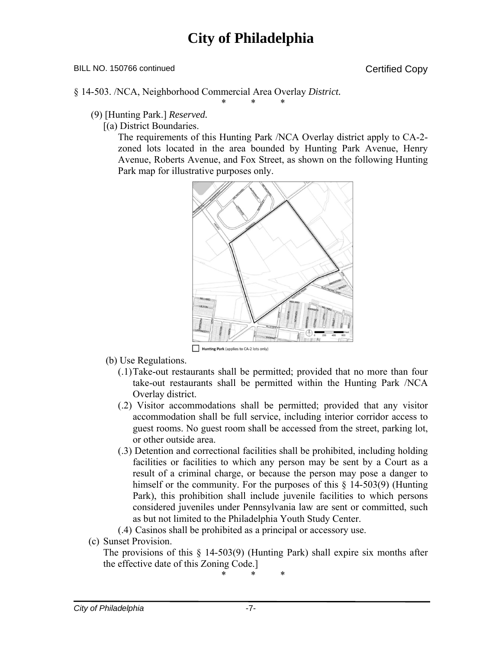\* \* \*

#### BILL NO. 150766 continued Certified Copy

§ 14-503. /NCA, Neighborhood Commercial Area Overlay *District.*

- (9) [Hunting Park.] *Reserved.*
	- [(a) District Boundaries.

The requirements of this Hunting Park /NCA Overlay district apply to CA-2 zoned lots located in the area bounded by Hunting Park Avenue, Henry Avenue, Roberts Avenue, and Fox Street, as shown on the following Hunting Park map for illustrative purposes only.



- (b) Use Regulations.
	- (.1) Take-out restaurants shall be permitted; provided that no more than four take-out restaurants shall be permitted within the Hunting Park /NCA Overlay district.
	- (.2) Visitor accommodations shall be permitted; provided that any visitor accommodation shall be full service, including interior corridor access to guest rooms. No guest room shall be accessed from the street, parking lot, or other outside area.
	- (.3) Detention and correctional facilities shall be prohibited, including holding facilities or facilities to which any person may be sent by a Court as a result of a criminal charge, or because the person may pose a danger to himself or the community. For the purposes of this  $\S$  14-503(9) (Hunting Park), this prohibition shall include juvenile facilities to which persons considered juveniles under Pennsylvania law are sent or committed, such as but not limited to the Philadelphia Youth Study Center.

(.4) Casinos shall be prohibited as a principal or accessory use.

(c) Sunset Provision.

The provisions of this § 14-503(9) (Hunting Park) shall expire six months after the effective date of this Zoning Code.]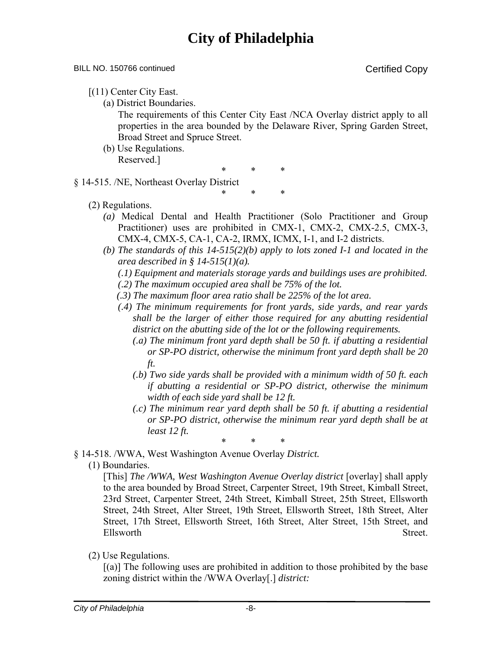#### BILL NO. 150766 continued Certified Copy

- [(11) Center City East.
	- (a) District Boundaries.

The requirements of this Center City East /NCA Overlay district apply to all properties in the area bounded by the Delaware River, Spring Garden Street, Broad Street and Spruce Street.

(b) Use Regulations. Reserved.]

\* \* \*

\* \* \*

§ 14-515. /NE, Northeast Overlay District

- (2) Regulations.
	- *(a)* Medical Dental and Health Practitioner (Solo Practitioner and Group Practitioner) uses are prohibited in CMX-1, CMX-2, CMX-2.5, CMX-3, CMX-4, CMX-5, CA-1, CA-2, IRMX, ICMX, I-1, and I-2 districts.
	- *(b) The standards of this 14-515(2)(b) apply to lots zoned I-1 and located in the area described in § 14-515(1)(a).* 
		- *(.1) Equipment and materials storage yards and buildings uses are prohibited.*
		- *(.2) The maximum occupied area shall be 75% of the lot.*
		- *(.3) The maximum floor area ratio shall be 225% of the lot area.*
		- *(.4) The minimum requirements for front yards, side yards, and rear yards shall be the larger of either those required for any abutting residential district on the abutting side of the lot or the following requirements.* 
			- *(.a) The minimum front yard depth shall be 50 ft. if abutting a residential or SP-PO district, otherwise the minimum front yard depth shall be 20 ft.*
			- *(.b) Two side yards shall be provided with a minimum width of 50 ft. each if abutting a residential or SP-PO district, otherwise the minimum width of each side yard shall be 12 ft.*
			- *(.c) The minimum rear yard depth shall be 50 ft. if abutting a residential or SP-PO district, otherwise the minimum rear yard depth shall be at least 12 ft.*
- \* \* \* § 14-518. /WWA, West Washington Avenue Overlay *District.*
	- (1) Boundaries.

[This] *The /WWA, West Washington Avenue Overlay district* [overlay] shall apply to the area bounded by Broad Street, Carpenter Street, 19th Street, Kimball Street, 23rd Street, Carpenter Street, 24th Street, Kimball Street, 25th Street, Ellsworth Street, 24th Street, Alter Street, 19th Street, Ellsworth Street, 18th Street, Alter Street, 17th Street, Ellsworth Street, 16th Street, Alter Street, 15th Street, and Ellsworth Street.

(2) Use Regulations.

[(a)] The following uses are prohibited in addition to those prohibited by the base zoning district within the /WWA Overlay[.] *district:*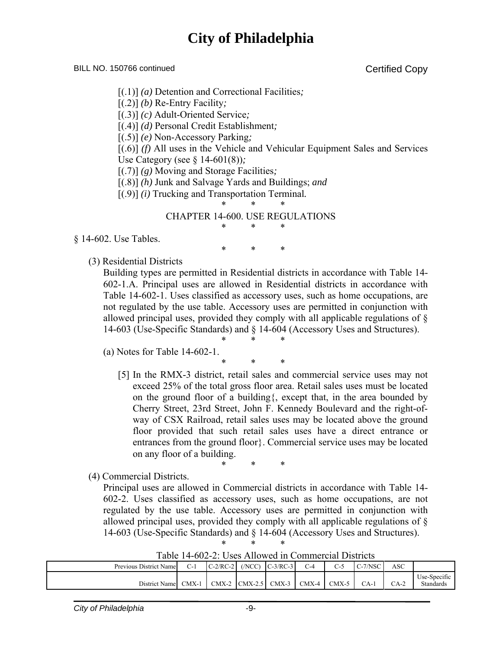BILL NO. 150766 continued Copy

- [(.1)] *(a)* Detention and Correctional Facilities*;*
- [(.2)] *(b)* Re-Entry Facility*;*
- [(.3)] *(c)* Adult-Oriented Service*;*
- [(.4)] *(d)* Personal Credit Establishment*;*
- [(.5)] *(e)* Non-Accessory Parking*;*

[(.6)] *(f)* All uses in the Vehicle and Vehicular Equipment Sales and Services Use Category (see § 14-601(8))*;*

- [(.7)] *(g)* Moving and Storage Facilities*;*
- [(.8)] *(h)* Junk and Salvage Yards and Buildings; *and*
- [(.9)] *(i)* Trucking and Transportation Terminal*.*
	- \* \* \*

CHAPTER 14-600. USE REGULATIONS \* \* \*

§ 14-602. Use Tables.

\* \* \*

(3) Residential Districts

Building types are permitted in Residential districts in accordance with Table 14- 602-1.A. Principal uses are allowed in Residential districts in accordance with Table 14-602-1. Uses classified as accessory uses, such as home occupations, are not regulated by the use table. Accessory uses are permitted in conjunction with allowed principal uses, provided they comply with all applicable regulations of § 14-603 (Use-Specific Standards) and § 14-604 (Accessory Uses and Structures).

- \* \* \* (a) Notes for Table 14-602-1.
	- \* \* \*
	- [5] In the RMX-3 district, retail sales and commercial service uses may not exceed 25% of the total gross floor area. Retail sales uses must be located on the ground floor of a building{, except that, in the area bounded by Cherry Street, 23rd Street, John F. Kennedy Boulevard and the right-ofway of CSX Railroad, retail sales uses may be located above the ground floor provided that such retail sales uses have a direct entrance or entrances from the ground floor}. Commercial service uses may be located on any floor of a building.
		- \* \* \*
- (4) Commercial Districts.

Principal uses are allowed in Commercial districts in accordance with Table 14- 602-2. Uses classified as accessory uses, such as home occupations, are not regulated by the use table. Accessory uses are permitted in conjunction with allowed principal uses, provided they comply with all applicable regulations of § 14-603 (Use-Specific Standards) and § 14-604 (Accessory Uses and Structures).

| 1 WUIV 1 I<br>$\sim$ 2. Obvo Thio weally commencial Dibition |         |                  |                   |            |       |         |                          |      |                           |
|--------------------------------------------------------------|---------|------------------|-------------------|------------|-------|---------|--------------------------|------|---------------------------|
| Previous District Name                                       | C-1     | $C-2/RC-2$ (NCC) |                   | $C-3/RC-3$ | $C-4$ | ر-ب     | $-7/NSC$<br>$\sim$ - $/$ | ASC  |                           |
| District Name                                                | $CMX-1$ |                  | $CMX-2$ $CMX-2.5$ | CMX-3      | CMX-4 | $CMX-5$ | $CA-1$                   | CA-2 | Use-Specific<br>Standards |

Table 14-602-2: Uses Allowed in Commercial Districts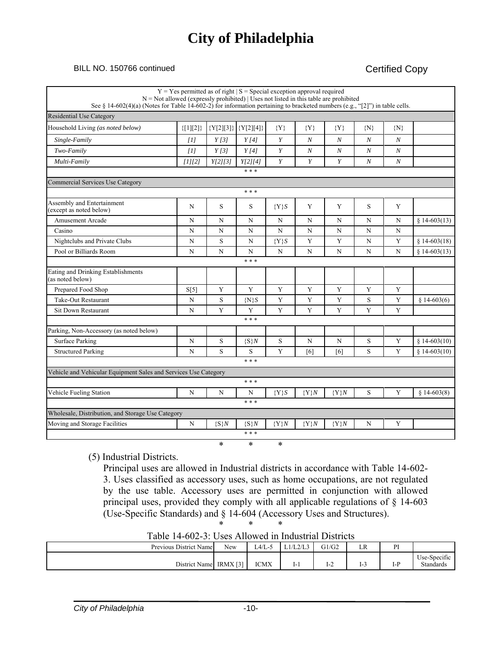#### BILL NO. 150766 continued Certified Copy

| See § 14-602(4)(a) (Notes for Table 14-602-2) for information pertaining to bracketed numbers (e.g., "[2]") in table cells. | $Y = Yes$ permitted as of right $ S $ = Special exception approval required<br>$N = Not$ allowed (expressly prohibited)   Uses not listed in this table are prohibited |             |                         |           |                  |                  |                  |                  |               |
|-----------------------------------------------------------------------------------------------------------------------------|------------------------------------------------------------------------------------------------------------------------------------------------------------------------|-------------|-------------------------|-----------|------------------|------------------|------------------|------------------|---------------|
| <b>Residential Use Category</b>                                                                                             |                                                                                                                                                                        |             |                         |           |                  |                  |                  |                  |               |
| Household Living (as noted below)                                                                                           | ${[1][2]}$                                                                                                                                                             |             | ${Y[2][3]}   {Y[2][4]}$ | ${Y}$     | ${Y}$            | ${Y}$            | $\{N\}$          | $\{N\}$          |               |
| Single-Family                                                                                                               | [1]                                                                                                                                                                    | Y[3]        | Y[4]                    | Y         | N                | $\boldsymbol{N}$ | $\boldsymbol{N}$ | $\boldsymbol{N}$ |               |
| Two-Family                                                                                                                  | [1]                                                                                                                                                                    | Y[3]        | Y[4]                    | Y         | $\boldsymbol{N}$ | $\boldsymbol{N}$ | $\boldsymbol{N}$ | $\boldsymbol{N}$ |               |
| Multi-Family                                                                                                                | [1][2]                                                                                                                                                                 | Y[2][3]     | Y[2][4]                 | Y         | Y                | Y                | N                | $\boldsymbol{N}$ |               |
|                                                                                                                             |                                                                                                                                                                        |             | * * *                   |           |                  |                  |                  |                  |               |
| Commercial Services Use Category                                                                                            |                                                                                                                                                                        |             |                         |           |                  |                  |                  |                  |               |
|                                                                                                                             |                                                                                                                                                                        |             | * * *                   |           |                  |                  |                  |                  |               |
| Assembly and Entertainment<br>(except as noted below)                                                                       | N                                                                                                                                                                      | S           | S                       | ${Y}S$    | Y                | Y                | S                | Y                |               |
| <b>Amusement Arcade</b>                                                                                                     | N                                                                                                                                                                      | N           | N                       | N         | N                | N                | N                | N                | $$14-603(13)$ |
| Casino                                                                                                                      | N                                                                                                                                                                      | $\mathbf N$ | N                       | ${\bf N}$ | N                | $\mathbf N$      | N                | N                |               |
| Nightclubs and Private Clubs                                                                                                | $\mathbf N$                                                                                                                                                            | S           | N                       | ${Y}S$    | Y                | Y                | N                | Y                | $$14-603(18)$ |
| Pool or Billiards Room                                                                                                      | N                                                                                                                                                                      | N           | N                       | N         | N                | N                | N                | N                | $$14-603(13)$ |
|                                                                                                                             |                                                                                                                                                                        |             | * * *                   |           |                  |                  |                  |                  |               |
| Eating and Drinking Establishments<br>(as noted below)                                                                      |                                                                                                                                                                        |             |                         |           |                  |                  |                  |                  |               |
| Prepared Food Shop                                                                                                          | S[5]                                                                                                                                                                   | Y           | Y                       | Y         | Y                | Y                | Y                | Y                |               |
| Take-Out Restaurant                                                                                                         | $\mathbf N$                                                                                                                                                            | S           | $\{N\}S$                | Y         | $\mathbf Y$      | $\mathbf Y$      | S                | $\mathbf Y$      | $$14-603(6)$  |
| <b>Sit Down Restaurant</b>                                                                                                  | N                                                                                                                                                                      | Y           | Y                       | Y         | Y                | Y                | Y                | Y                |               |
|                                                                                                                             |                                                                                                                                                                        |             | * * *                   |           |                  |                  |                  |                  |               |
| Parking, Non-Accessory (as noted below)                                                                                     |                                                                                                                                                                        |             |                         |           |                  |                  |                  |                  |               |
| <b>Surface Parking</b>                                                                                                      | N                                                                                                                                                                      | S           | $\{S\}N$                | S         | N                | N                | S                | Y                | $$14-603(10)$ |
| <b>Structured Parking</b>                                                                                                   | N                                                                                                                                                                      | S           | S                       | Y         | [6]              | [6]              | S                | Y                | $$14-603(10)$ |
|                                                                                                                             |                                                                                                                                                                        |             | * * *                   |           |                  |                  |                  |                  |               |
| Vehicle and Vehicular Equipment Sales and Services Use Category                                                             |                                                                                                                                                                        |             |                         |           |                  |                  |                  |                  |               |
|                                                                                                                             |                                                                                                                                                                        |             | * * *                   |           |                  |                  |                  |                  |               |
| Vehicle Fueling Station                                                                                                     | $\mathbf N$                                                                                                                                                            | N           | N<br>* * *              | ${Y}S$    | ${Y}N$           | ${Y}N$           | S                | Y                | $$14-603(8)$  |
|                                                                                                                             |                                                                                                                                                                        |             |                         |           |                  |                  |                  |                  |               |
| Wholesale, Distribution, and Storage Use Category<br>Moving and Storage Facilities                                          | N                                                                                                                                                                      | $\{S\}N$    | $\{S\}N$                | ${Y}N$    | ${Y}N$           | ${Y}N$           | N                | Y                |               |
|                                                                                                                             |                                                                                                                                                                        |             | * * *                   |           |                  |                  |                  |                  |               |
|                                                                                                                             |                                                                                                                                                                        | $\ast$      | $\ast$                  | $\ast$    |                  |                  |                  |                  |               |

(5) Industrial Districts.

Principal uses are allowed in Industrial districts in accordance with Table 14-602- 3. Uses classified as accessory uses, such as home occupations, are not regulated by the use table. Accessory uses are permitted in conjunction with allowed principal uses, provided they comply with all applicable regulations of § 14-603 (Use-Specific Standards) and § 14-604 (Accessory Uses and Structures). \* \* \*

Table 14-602-3: Uses Allowed in Industrial Districts

| Previous District Name | $\mathbf{v}$<br>New              | $L4/L-5$    | $1/I$ $2/I$ $3$<br>دید است ا | G1/G2                            | $\mathbf{v}$ $\mathbf{D}$<br>LN | DI<br>. . |                                                  |
|------------------------|----------------------------------|-------------|------------------------------|----------------------------------|---------------------------------|-----------|--------------------------------------------------|
| District Name          | $\lceil 3 \rceil$<br><b>IRMX</b> | <b>ICMX</b> | 1-1                          | $\mathbf{r}$ $\mathbf{r}$<br>1-2 | . .<br>. .                      | $I-P$     | $\sim$<br><b>TT</b><br>Use-Specific<br>Standards |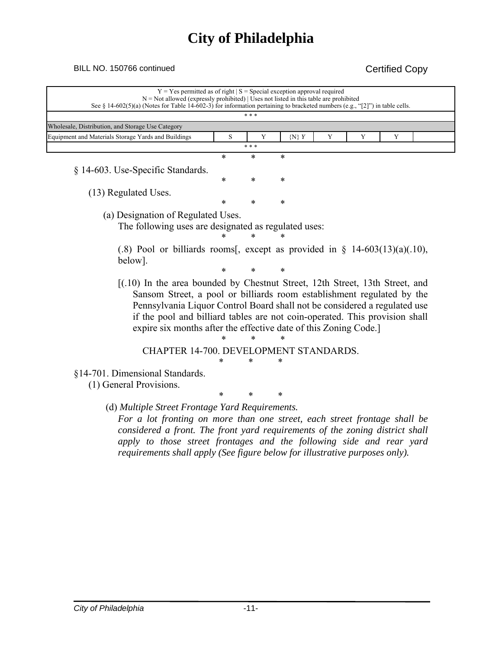### BILL NO. 150766 continued Certified Copy

|                                                                                |        | $***$  |           |   |   |   |  |
|--------------------------------------------------------------------------------|--------|--------|-----------|---|---|---|--|
| Wholesale, Distribution, and Storage Use Category                              |        |        |           |   |   |   |  |
| Equipment and Materials Storage Yards and Buildings                            | S      | Y      | $\{N\}$ Y | Y | Y | Y |  |
|                                                                                |        | * * *  |           |   |   |   |  |
|                                                                                | $\ast$ | $\ast$ | $\ast$    |   |   |   |  |
| § 14-603. Use-Specific Standards.                                              |        |        |           |   |   |   |  |
|                                                                                | ∗      | *      | $\ast$    |   |   |   |  |
| (13) Regulated Uses.                                                           |        |        |           |   |   |   |  |
|                                                                                | *      | *      | $\ast$    |   |   |   |  |
| (a) Designation of Regulated Uses.                                             |        |        |           |   |   |   |  |
| The following uses are designated as regulated uses:                           |        |        |           |   |   |   |  |
|                                                                                |        |        |           |   |   |   |  |
| $(0.8)$ Pool or billiards rooms[, except as provided in § 14-603(13)(a)(.10),  |        |        |           |   |   |   |  |
| below].                                                                        |        |        |           |   |   |   |  |
|                                                                                | *      |        | *         |   |   |   |  |
| $[(.10)$ In the area bounded by Chestnut Street, 12th Street, 13th Street, and |        |        |           |   |   |   |  |
| Sansom Street, a pool or billiards room establishment regulated by the         |        |        |           |   |   |   |  |
| Pennsylvania Liquor Control Board shall not be considered a regulated use      |        |        |           |   |   |   |  |
| if the pool and billiard tables are not coin-operated. This provision shall    |        |        |           |   |   |   |  |
| expire six months after the effective date of this Zoning Code.                |        |        |           |   |   |   |  |
|                                                                                |        |        |           |   |   |   |  |
| CHAPTER 14-700. DEVELOPMENT STANDARDS.                                         |        |        |           |   |   |   |  |
|                                                                                |        | *      |           |   |   |   |  |
|                                                                                |        |        |           |   |   |   |  |
| §14-701. Dimensional Standards.                                                |        |        |           |   |   |   |  |
| (1) General Provisions.                                                        |        |        |           |   |   |   |  |
|                                                                                | *      | *      | ∗         |   |   |   |  |
| (d) Multiple Street Frontage Yard Requirements.                                |        |        |           |   |   |   |  |
| For a lot fronting on more than one street, each street frontage shall be      |        |        |           |   |   |   |  |
| considered a front. The front yard requirements of the zoning district shall   |        |        |           |   |   |   |  |

*requirements shall apply (See figure below for illustrative purposes only).*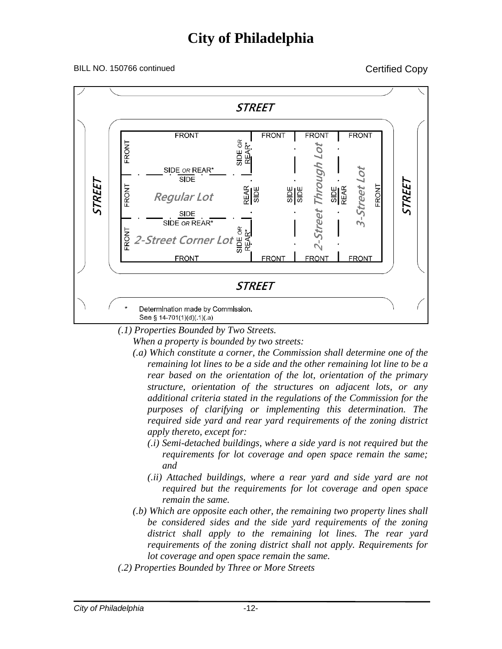#### BILL NO. 150766 continued Copy



*(.1) Properties Bounded by Two Streets.* 

*When a property is bounded by two streets:* 

- *(.a) Which constitute a corner, the Commission shall determine one of the remaining lot lines to be a side and the other remaining lot line to be a rear based on the orientation of the lot, orientation of the primary structure, orientation of the structures on adjacent lots, or any additional criteria stated in the regulations of the Commission for the purposes of clarifying or implementing this determination. The required side yard and rear yard requirements of the zoning district apply thereto, except for:* 
	- *(.i) Semi-detached buildings, where a side yard is not required but the requirements for lot coverage and open space remain the same; and*
	- *(.ii) Attached buildings, where a rear yard and side yard are not required but the requirements for lot coverage and open space remain the same.*
- *(.b) Which are opposite each other, the remaining two property lines shall be considered sides and the side yard requirements of the zoning district shall apply to the remaining lot lines. The rear yard requirements of the zoning district shall not apply. Requirements for lot coverage and open space remain the same.*
- *(.2) Properties Bounded by Three or More Streets*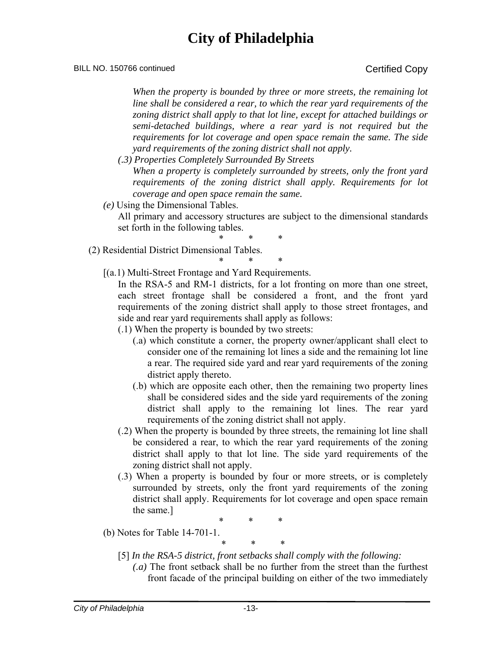#### BILL NO. 150766 continued Copy

*When the property is bounded by three or more streets, the remaining lot line shall be considered a rear, to which the rear yard requirements of the zoning district shall apply to that lot line, except for attached buildings or semi-detached buildings, where a rear yard is not required but the requirements for lot coverage and open space remain the same. The side yard requirements of the zoning district shall not apply.* 

- *(.3) Properties Completely Surrounded By Streets When a property is completely surrounded by streets, only the front yard requirements of the zoning district shall apply. Requirements for lot coverage and open space remain the same.*
- *(e)* Using the Dimensional Tables.

All primary and accessory structures are subject to the dimensional standards set forth in the following tables.

\* \* \*

\* \* \*

- (2) Residential District Dimensional Tables.
	- [(a.1) Multi-Street Frontage and Yard Requirements.

In the RSA-5 and RM-1 districts, for a lot fronting on more than one street, each street frontage shall be considered a front, and the front yard requirements of the zoning district shall apply to those street frontages, and side and rear yard requirements shall apply as follows:

- (.1) When the property is bounded by two streets:
	- (.a) which constitute a corner, the property owner/applicant shall elect to consider one of the remaining lot lines a side and the remaining lot line a rear. The required side yard and rear yard requirements of the zoning district apply thereto.
	- (.b) which are opposite each other, then the remaining two property lines shall be considered sides and the side yard requirements of the zoning district shall apply to the remaining lot lines. The rear yard requirements of the zoning district shall not apply.
- (.2) When the property is bounded by three streets, the remaining lot line shall be considered a rear, to which the rear yard requirements of the zoning district shall apply to that lot line. The side yard requirements of the zoning district shall not apply.
- (.3) When a property is bounded by four or more streets, or is completely surrounded by streets, only the front yard requirements of the zoning district shall apply. Requirements for lot coverage and open space remain the same.]

\* \* \*

(b) Notes for Table 14-701-1.

\* \* \*

[5] *In the RSA-5 district, front setbacks shall comply with the following:* 

*(.a)* The front setback shall be no further from the street than the furthest front facade of the principal building on either of the two immediately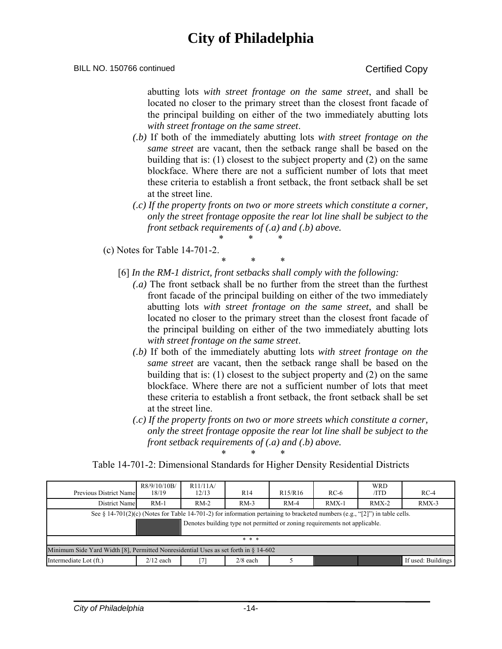#### BILL NO. 150766 continued Certified Copy

abutting lots *with street frontage on the same street*, and shall be located no closer to the primary street than the closest front facade of the principal building on either of the two immediately abutting lots *with street frontage on the same street*.

- *(.b)* If both of the immediately abutting lots *with street frontage on the same street* are vacant, then the setback range shall be based on the building that is: (1) closest to the subject property and (2) on the same blockface. Where there are not a sufficient number of lots that meet these criteria to establish a front setback, the front setback shall be set at the street line.
- *(.c) If the property fronts on two or more streets which constitute a corner, only the street frontage opposite the rear lot line shall be subject to the front setback requirements of (.a) and (.b) above.*  \* \* \*

(c) Notes for Table 14-701-2.

\* \* \* [6] *In the RM-1 district, front setbacks shall comply with the following:* 

- *(.a)* The front setback shall be no further from the street than the furthest front facade of the principal building on either of the two immediately abutting lots *with street frontage on the same street*, and shall be located no closer to the primary street than the closest front facade of the principal building on either of the two immediately abutting lots *with street frontage on the same street*.
- *(.b)* If both of the immediately abutting lots *with street frontage on the same street* are vacant, then the setback range shall be based on the building that is: (1) closest to the subject property and (2) on the same blockface. Where there are not a sufficient number of lots that meet these criteria to establish a front setback, the front setback shall be set at the street line.
- *(.c) If the property fronts on two or more streets which constitute a corner, only the street frontage opposite the rear lot line shall be subject to the front setback requirements of (.a) and (.b) above.*  \* \* \*

Table 14-701-2: Dimensional Standards for Higher Density Residential Districts

| Previous District Name                                                                                                                                                                                    | R8/9/10/10B/<br>18/19 | R11/11A/<br>12/13 | R <sub>14</sub> | R <sub>15</sub> /R <sub>16</sub> | $RC-6$  | <b>WRD</b><br>/ID | $RC-4$             |  |  |
|-----------------------------------------------------------------------------------------------------------------------------------------------------------------------------------------------------------|-----------------------|-------------------|-----------------|----------------------------------|---------|-------------------|--------------------|--|--|
| District Name                                                                                                                                                                                             | $RM-1$                | $RM-2$            | $RM-3$          | $RM-4$                           | $RMX-1$ | $RMX-2$           | $RMX-3$            |  |  |
| See § 14-701(2)(c) (Notes for Table 14-701-2) for information pertaining to bracketed numbers (e.g., "[2]") in table cells.<br>Denotes building type not permitted or zoning requirements not applicable. |                       |                   |                 |                                  |         |                   |                    |  |  |
|                                                                                                                                                                                                           |                       |                   | * * *           |                                  |         |                   |                    |  |  |
| Minimum Side Yard Width [8], Permitted Nonresidential Uses as set forth in $\S$ 14-602                                                                                                                    |                       |                   |                 |                                  |         |                   |                    |  |  |
| Intermediate Lot (ft.)                                                                                                                                                                                    | $2/12$ each           | [7]               | $2/8$ each      |                                  |         |                   | If used: Buildings |  |  |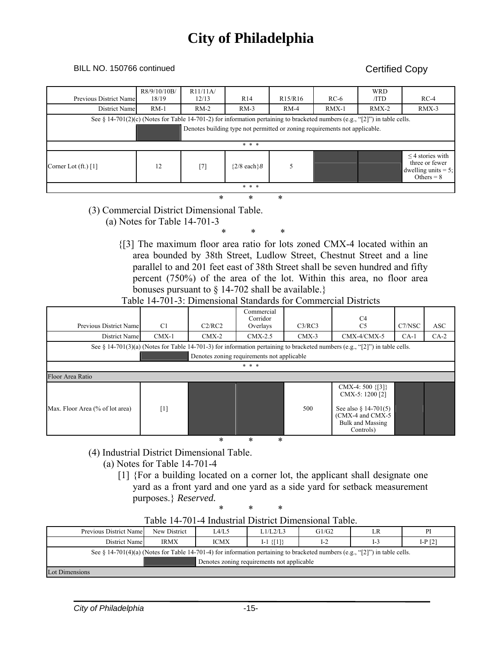#### BILL NO. 150766 continued Copy

| Previous District Name                                                                                                      | R8/9/10/10B/<br>18/19 | R11/11A<br>12/13 | R <sub>14</sub>  | R <sub>15</sub> /R <sub>16</sub> | $RC-6$  | <b>WRD</b><br>/ID | $RC-4$                                                                            |  |  |
|-----------------------------------------------------------------------------------------------------------------------------|-----------------------|------------------|------------------|----------------------------------|---------|-------------------|-----------------------------------------------------------------------------------|--|--|
| District Name                                                                                                               | $RM-1$                | $RM-2$           | $RM-3$           | $RM-4$                           | $RMX-1$ | $RMX-2$           | $RMX-3$                                                                           |  |  |
| See § 14-701(2)(c) (Notes for Table 14-701-2) for information pertaining to bracketed numbers (e.g., "[2]") in table cells. |                       |                  |                  |                                  |         |                   |                                                                                   |  |  |
| Denotes building type not permitted or zoning requirements not applicable.                                                  |                       |                  |                  |                                  |         |                   |                                                                                   |  |  |
|                                                                                                                             |                       |                  |                  |                                  |         |                   |                                                                                   |  |  |
|                                                                                                                             |                       |                  | * * *            |                                  |         |                   |                                                                                   |  |  |
| Corner Lot $(ft.)$ [1]                                                                                                      | 12                    | $[7]$            | ${2/8}$ each $8$ | 5                                |         |                   | $\leq$ 4 stories with<br>three or fewer<br>dwelling units $= 5$ ;<br>Others = $8$ |  |  |
| * * *                                                                                                                       |                       |                  |                  |                                  |         |                   |                                                                                   |  |  |
|                                                                                                                             | $\ast$<br>*<br>$\ast$ |                  |                  |                                  |         |                   |                                                                                   |  |  |

#### (3) Commercial District Dimensional Table.

(a) Notes for Table 14-701-3

\* \* \*

{[3] The maximum floor area ratio for lots zoned CMX-4 located within an area bounded by 38th Street, Ludlow Street, Chestnut Street and a line parallel to and 201 feet east of 38th Street shall be seven hundred and fifty percent (750%) of the area of the lot. Within this area, no floor area bonuses pursuant to § 14-702 shall be available.}

### Table 14-701-3: Dimensional Standards for Commercial Districts

|                                                                                                                             |         |         | Commercial<br>Corridor |         | C <sub>4</sub>                                                                                                                         |        |            |  |  |  |
|-----------------------------------------------------------------------------------------------------------------------------|---------|---------|------------------------|---------|----------------------------------------------------------------------------------------------------------------------------------------|--------|------------|--|--|--|
| Previous District Name                                                                                                      | C1      | C2/RC2  | Overlays               | C3/RC3  | C <sub>5</sub>                                                                                                                         | C7/NSC | <b>ASC</b> |  |  |  |
| District Name                                                                                                               | $CMX-1$ | $CMX-2$ | $CMX-2.5$              | $CMX-3$ | $CMX-4/CMX-5$                                                                                                                          | $CA-1$ | $CA-2$     |  |  |  |
| See § 14-701(3)(a) (Notes for Table 14-701-3) for information pertaining to bracketed numbers (e.g., "[2]") in table cells. |         |         |                        |         |                                                                                                                                        |        |            |  |  |  |
| Denotes zoning requirements not applicable                                                                                  |         |         |                        |         |                                                                                                                                        |        |            |  |  |  |
| * * *                                                                                                                       |         |         |                        |         |                                                                                                                                        |        |            |  |  |  |
| Floor Area Ratio                                                                                                            |         |         |                        |         |                                                                                                                                        |        |            |  |  |  |
| Max. Floor Area (% of lot area)                                                                                             | $[1]$   |         |                        | 500     | CMX-4: 500 $\{3\}$<br>CMX-5: 1200 [2]<br>See also $\frac{1}{2}$ 14-701(5)<br>(CMX-4 and CMX-5)<br><b>Bulk and Massing</b><br>Controls) |        |            |  |  |  |
|                                                                                                                             |         | *       | *<br>*                 |         |                                                                                                                                        |        |            |  |  |  |

- (4) Industrial District Dimensional Table.
	- (a) Notes for Table 14-701-4
		- [1] {For a building located on a corner lot, the applicant shall designate one yard as a front yard and one yard as a side yard for setback measurement purposes.} *Reserved.*

| Table 14-701-4 Industrial District Dimensional Table.                                                                       |              |             |                 |       |       |           |  |  |
|-----------------------------------------------------------------------------------------------------------------------------|--------------|-------------|-----------------|-------|-------|-----------|--|--|
| Previous District Name                                                                                                      | New District | L4/L5       | L1/L2/L3        | G1/G2 | LR    | PI        |  |  |
| District Name                                                                                                               | <b>IRMX</b>  | <b>ICMX</b> | $I-1 \{ [1] \}$ | $I-2$ | $I-3$ | I-P $[2]$ |  |  |
| See § 14-701(4)(a) (Notes for Table 14-701-4) for information pertaining to bracketed numbers (e.g., "[2]") in table cells. |              |             |                 |       |       |           |  |  |
| Denotes zoning requirements not applicable                                                                                  |              |             |                 |       |       |           |  |  |
| Lot Dimensions                                                                                                              |              |             |                 |       |       |           |  |  |

#### \* \* \* Table 14-701-4 Industrial District Dimensional Table.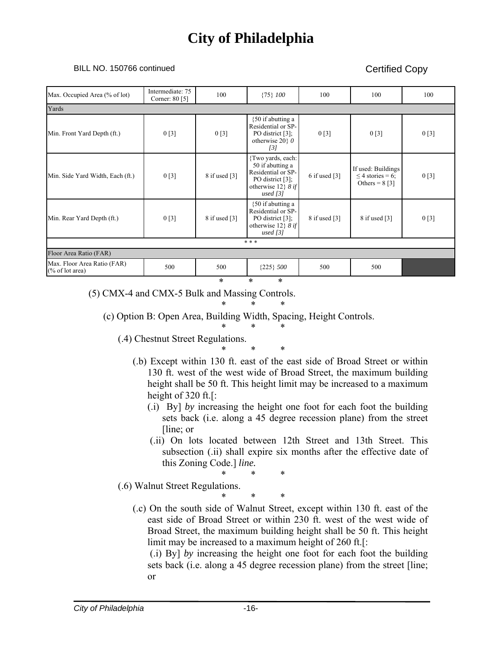#### BILL NO. 150766 continued Copy

| Max. Occupied Area (% of lot)                  | Intermediate: 75<br>Corner: 80 [5] | 100                         | ${75}$ $100$                                                                                                           | 100             | 100                                                                | 100  |
|------------------------------------------------|------------------------------------|-----------------------------|------------------------------------------------------------------------------------------------------------------------|-----------------|--------------------------------------------------------------------|------|
| Yards                                          |                                    |                             |                                                                                                                        |                 |                                                                    |      |
| Min. Front Yard Depth (ft.)                    | 0[3]                               | 0[3]                        | $\{50$ if abutting a<br>Residential or SP-<br>PO district [3];<br>otherwise 20 $\theta$<br>$\left[3\right]$            | 0[3]            | 0[3]                                                               | 0[3] |
| Min. Side Yard Width, Each (ft.)               | 0[3]                               | $8$ if used [3]             | {Two yards, each:<br>50 if abutting a<br>Residential or SP-<br>PO district $[3]$ ;<br>otherwise 12} 8 if<br>used $[3]$ | 6 if used $[3]$ | If used: Buildings<br>$\leq$ 4 stories = 6;<br>Others = $8 \,$ [3] | 0[3] |
| Min. Rear Yard Depth (ft.)                     | 0[3]                               | 8 if used $\lceil 3 \rceil$ | ${50}$ if abutting a<br>Residential or SP-<br>PO district $[3]$ ;<br>otherwise 12} 8 if<br>used $[3]$                  | 8 if used [3]   | 8 if used $[3]$                                                    | 0[3] |
|                                                |                                    |                             | * * *                                                                                                                  |                 |                                                                    |      |
| Floor Area Ratio (FAR)                         |                                    |                             |                                                                                                                        |                 |                                                                    |      |
| Max. Floor Area Ratio (FAR)<br>(% of lot area) | 500                                | 500                         | ${225}$ 500                                                                                                            | 500             | 500                                                                |      |
|                                                |                                    | *                           | $\ast$<br>*                                                                                                            |                 |                                                                    |      |

(5) CMX-4 and CMX-5 Bulk and Massing Controls.

\* \* \*

(c) Option B: Open Area, Building Width, Spacing, Height Controls.

\* \* \* (.4) Chestnut Street Regulations.

\* \* \*

- (.b) Except within 130 ft. east of the east side of Broad Street or within 130 ft. west of the west wide of Broad Street, the maximum building height shall be 50 ft. This height limit may be increased to a maximum height of 320 ft.[:
	- (.i) By] *by* increasing the height one foot for each foot the building sets back (i.e. along a 45 degree recession plane) from the street [line; or
	- (.ii) On lots located between 12th Street and 13th Street. This subsection (.ii) shall expire six months after the effective date of this Zoning Code.] *line.*

\* \* \*

\* \* \*

(.6) Walnut Street Regulations.

(.c) On the south side of Walnut Street, except within 130 ft. east of the east side of Broad Street or within 230 ft. west of the west wide of Broad Street, the maximum building height shall be 50 ft. This height limit may be increased to a maximum height of 260 ft.[:

 (.i) By] *by* increasing the height one foot for each foot the building sets back (i.e. along a 45 degree recession plane) from the street [line; or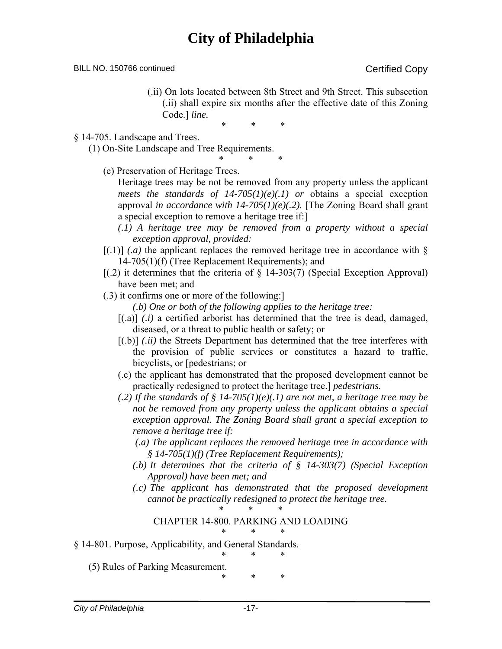BILL NO. 150766 continued Certified Copy

(.ii) On lots located between 8th Street and 9th Street. This subsection (.ii) shall expire six months after the effective date of this Zoning Code.] *line.* 

\* \* \*

\* \* \*

§ 14-705. Landscape and Trees.

(1) On-Site Landscape and Tree Requirements.

(e) Preservation of Heritage Trees.

Heritage trees may be not be removed from any property unless the applicant *meets the standards of*  $14-705(1)(e)(.1)$  *or obtains a special exception* approval *in accordance with 14-705(1)(e)(.2).* [The Zoning Board shall grant a special exception to remove a heritage tree if:]

- *(.1) A heritage tree may be removed from a property without a special exception approval, provided:*
- $[(1)]$  *(a)* the applicant replaces the removed heritage tree in accordance with § 14-705(1)(f) (Tree Replacement Requirements); and
- $[(.2)$  it determines that the criteria of  $\S$  14-303(7) (Special Exception Approval) have been met; and
- (.3) it confirms one or more of the following:]
	- *(.b) One or both of the following applies to the heritage tree:*
	- $[(a)]$  *(.i)* a certified arborist has determined that the tree is dead, damaged, diseased, or a threat to public health or safety; or
	- [(.b)] *(.ii)* the Streets Department has determined that the tree interferes with the provision of public services or constitutes a hazard to traffic, bicyclists, or [pedestrians; or
	- (.c) the applicant has demonstrated that the proposed development cannot be practically redesigned to protect the heritage tree.] *pedestrians.*
	- *(.2) If the standards of § 14-705(1)(e)(.1) are not met, a heritage tree may be not be removed from any property unless the applicant obtains a special exception approval. The Zoning Board shall grant a special exception to remove a heritage tree if:*
		- *(.a) The applicant replaces the removed heritage tree in accordance with § 14-705(1)(f) (Tree Replacement Requirements);*
		- *(.b) It determines that the criteria of § 14-303(7) (Special Exception Approval) have been met; and*
		- *(.c) The applicant has demonstrated that the proposed development cannot be practically redesigned to protect the heritage tree.*

#### \* \* \* CHAPTER 14-800. PARKING AND LOADING \* \* \*

§ 14-801. Purpose, Applicability, and General Standards.

\* \* \* (5) Rules of Parking Measurement.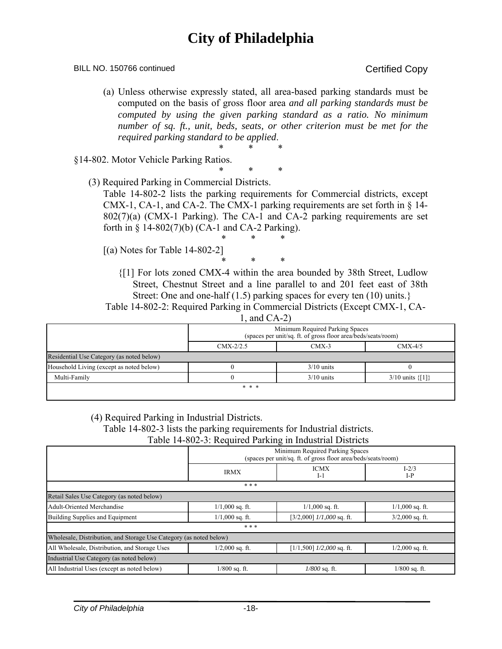#### BILL NO. 150766 continued Copy

(a) Unless otherwise expressly stated, all area-based parking standards must be computed on the basis of gross floor area *and all parking standards must be computed by using the given parking standard as a ratio. No minimum number of sq. ft., unit, beds, seats, or other criterion must be met for the required parking standard to be applied*. \* \* \*

§14-802. Motor Vehicle Parking Ratios.

\* \* \* (3) Required Parking in Commercial Districts.

Table 14-802-2 lists the parking requirements for Commercial districts, except CMX-1, CA-1, and CA-2. The CMX-1 parking requirements are set forth in  $\S$  14-802(7)(a) (CMX-1 Parking). The CA-1 and CA-2 parking requirements are set forth in  $\S$  14-802(7)(b) (CA-1 and CA-2 Parking). \* \* \*

- [(a) Notes for Table 14-802-2]
	- \* \* \* {[1] For lots zoned CMX-4 within the area bounded by 38th Street, Ludlow Street, Chestnut Street and a line parallel to and 201 feet east of 38th Street: One and one-half (1.5) parking spaces for every ten (10) units.}

Table 14-802-2: Required Parking in Commercial Districts (Except CMX-1, CA-1, and CA-2)

|                                           | Minimum Required Parking Spaces<br>(spaces per unit/sq. ft. of gross floor area/beds/seats/room) |              |                          |  |  |  |  |  |  |  |
|-------------------------------------------|--------------------------------------------------------------------------------------------------|--------------|--------------------------|--|--|--|--|--|--|--|
|                                           | $CMX-2/2.5$                                                                                      | $CMX-3$      | $CMX-4/5$                |  |  |  |  |  |  |  |
| Residential Use Category (as noted below) |                                                                                                  |              |                          |  |  |  |  |  |  |  |
| Household Living (except as noted below)  |                                                                                                  | $3/10$ units |                          |  |  |  |  |  |  |  |
| Multi-Family                              |                                                                                                  | $3/10$ units | $3/10$ units $\{ [1] \}$ |  |  |  |  |  |  |  |
|                                           | * * *                                                                                            |              |                          |  |  |  |  |  |  |  |

(4) Required Parking in Industrial Districts.

Table 14-802-3 lists the parking requirements for Industrial districts.

Table 14-802-3: Required Parking in Industrial Districts

|                                                                    | Minimum Required Parking Spaces<br>(spaces per unit/sq. ft. of gross floor area/beds/seats/room) |                               |                    |  |
|--------------------------------------------------------------------|--------------------------------------------------------------------------------------------------|-------------------------------|--------------------|--|
|                                                                    | <b>IRMX</b>                                                                                      | <b>ICMX</b><br>I-1            | $I - 2/3$<br>$I-P$ |  |
|                                                                    | * * *                                                                                            |                               |                    |  |
| Retail Sales Use Category (as noted below)                         |                                                                                                  |                               |                    |  |
| <b>Adult-Oriented Merchandise</b>                                  | $1/1,000$ sq. ft.                                                                                | $1/1,000$ sq. ft.             | $1/1,000$ sq. ft.  |  |
| Building Supplies and Equipment                                    | $1/1,000$ sq. ft.                                                                                | $[3/2,000]$ $1/1,000$ sq. ft. | $3/2,000$ sq. ft.  |  |
|                                                                    | * * *                                                                                            |                               |                    |  |
| Wholesale, Distribution, and Storage Use Category (as noted below) |                                                                                                  |                               |                    |  |
| All Wholesale, Distribution, and Storage Uses                      | $1/2,000$ sq. ft.                                                                                | $[1/1,500]$ $1/2,000$ sq. ft. | $1/2,000$ sq. ft.  |  |
| Industrial Use Category (as noted below)                           |                                                                                                  |                               |                    |  |
| All Industrial Uses (except as noted below)                        | $1/800$ sq. ft.                                                                                  | $1/800$ sq. ft.               | $1/800$ sq. ft.    |  |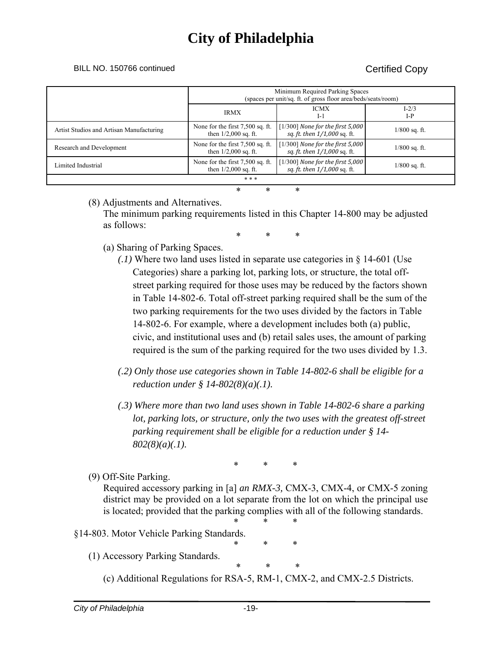BILL NO. 150766 continued Certified Copy

|                                          | Minimum Required Parking Spaces<br>(spaces per unit/sq. ft. of gross floor area/beds/seats/room) |                                                                    |                    |
|------------------------------------------|--------------------------------------------------------------------------------------------------|--------------------------------------------------------------------|--------------------|
|                                          | <b>IRMX</b>                                                                                      | <b>ICMX</b><br>$I-1$                                               | $I - 2/3$<br>$I-P$ |
| Artist Studios and Artisan Manufacturing | None for the first 7,500 sq. ft.<br>then $1/2,000$ sq. ft.                                       | $[1/300]$ None for the first 5,000<br>sq. ft. then 1/1,000 sq. ft. | $1/800$ sq. ft.    |
| Research and Development                 | None for the first 7,500 sq. ft.<br>then $1/2,000$ sq. ft.                                       | $[1/300]$ None for the first 5,000<br>sq. ft. then 1/1,000 sq. ft. | $1/800$ sq. ft.    |
| Limited Industrial                       | None for the first 7,500 sq. ft.<br>then $1/2,000$ sq. ft.                                       | $[1/300]$ None for the first 5,000<br>sq. ft. then 1/1,000 sq. ft. | $1/800$ sq. ft.    |
| * * *                                    |                                                                                                  |                                                                    |                    |
| *<br>$\ast$<br>*                         |                                                                                                  |                                                                    |                    |

### (8) Adjustments and Alternatives.

The minimum parking requirements listed in this Chapter 14-800 may be adjusted as follows:

\* \* \*

- (a) Sharing of Parking Spaces.
	- *(.1)* Where two land uses listed in separate use categories in § 14-601 (Use Categories) share a parking lot, parking lots, or structure, the total offstreet parking required for those uses may be reduced by the factors shown in Table 14-802-6. Total off-street parking required shall be the sum of the two parking requirements for the two uses divided by the factors in Table 14-802-6. For example, where a development includes both (a) public, civic, and institutional uses and (b) retail sales uses, the amount of parking required is the sum of the parking required for the two uses divided by 1.3.
	- *(.2) Only those use categories shown in Table 14-802-6 shall be eligible for a reduction under § 14-802(8)(a)(.1).*
	- *(.3) Where more than two land uses shown in Table 14-802-6 share a parking lot, parking lots, or structure, only the two uses with the greatest off-street parking requirement shall be eligible for a reduction under § 14- 802(8)(a)(.1).*

\* \* \*

(9) Off-Site Parking.

Required accessory parking in [a] *an RMX-3,* CMX-3, CMX-4, or CMX-5 zoning district may be provided on a lot separate from the lot on which the principal use is located; provided that the parking complies with all of the following standards.

\* \* \*

$$
\begin{array}{cc} * & * & * \\ * & * & * \end{array}
$$

### §14-803. Motor Vehicle Parking Standards.

- (1) Accessory Parking Standards.
	- \* \* \* (c) Additional Regulations for RSA-5, RM-1, CMX-2, and CMX-2.5 Districts.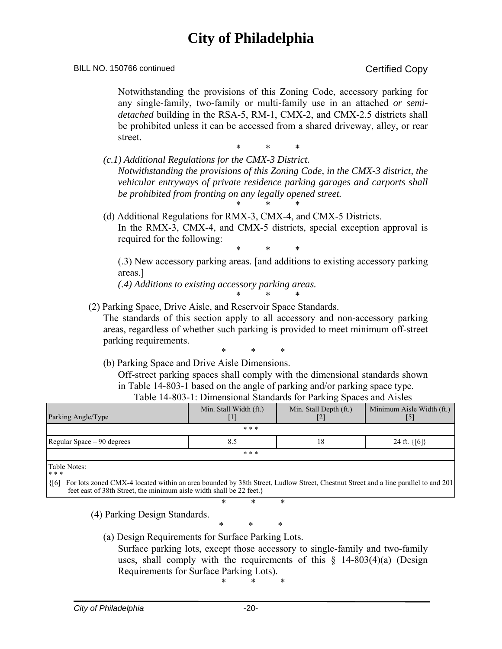#### BILL NO. 150766 continued Copy

Notwithstanding the provisions of this Zoning Code, accessory parking for any single-family, two-family or multi-family use in an attached *or semidetached* building in the RSA-5, RM-1, CMX-2, and CMX-2.5 districts shall be prohibited unless it can be accessed from a shared driveway, alley, or rear street.

\* \* \*

*(c.1) Additional Regulations for the CMX-3 District. Notwithstanding the provisions of this Zoning Code, in the CMX-3 district, the vehicular entryways of private residence parking garages and carports shall be prohibited from fronting on any legally opened street.* 

\* \* \*

(d) Additional Regulations for RMX-3, CMX-4, and CMX-5 Districts. In the RMX-3, CMX-4, and CMX-5 districts, special exception approval is required for the following:

\* \* \*

(.3) New accessory parking areas*.* [and additions to existing accessory parking areas.]

*(.4) Additions to existing accessory parking areas.* 

\* \* \*

(2) Parking Space, Drive Aisle, and Reservoir Space Standards.

The standards of this section apply to all accessory and non-accessory parking areas, regardless of whether such parking is provided to meet minimum off-street parking requirements.

\* \* \*

(b) Parking Space and Drive Aisle Dimensions.

Off-street parking spaces shall comply with the dimensional standards shown in Table 14-803-1 based on the angle of parking and/or parking space type. Table 14-803-1: Dimensional Standards for Parking Spaces and Aisles

| Table 14-005-1. DIMEnsional Blandards for I arking Spaces and Tisles |                        |                               |                           |
|----------------------------------------------------------------------|------------------------|-------------------------------|---------------------------|
| Parking Angle/Type                                                   | Min. Stall Width (ft.) | Min. Stall Depth (ft.)<br>[2] | Minimum Aisle Width (ft.) |
|                                                                      | * * *                  |                               |                           |
| Regular Space – 90 degrees                                           |                        | 18                            | 24 ft. $\{ [6] \}$        |
|                                                                      | * * *                  |                               |                           |
|                                                                      |                        |                               |                           |

Table Notes: \* \* \*

{[6] For lots zoned CMX-4 located within an area bounded by 38th Street, Ludlow Street, Chestnut Street and a line parallel to and 201 feet east of 38th Street, the minimum aisle width shall be 22 feet.}

\* \* \*

(4) Parking Design Standards.

$$
\ast\qquad \ast\qquad \ast
$$

(a) Design Requirements for Surface Parking Lots.

Surface parking lots, except those accessory to single-family and two-family uses, shall comply with the requirements of this  $\S$  14-803(4)(a) (Design Requirements for Surface Parking Lots).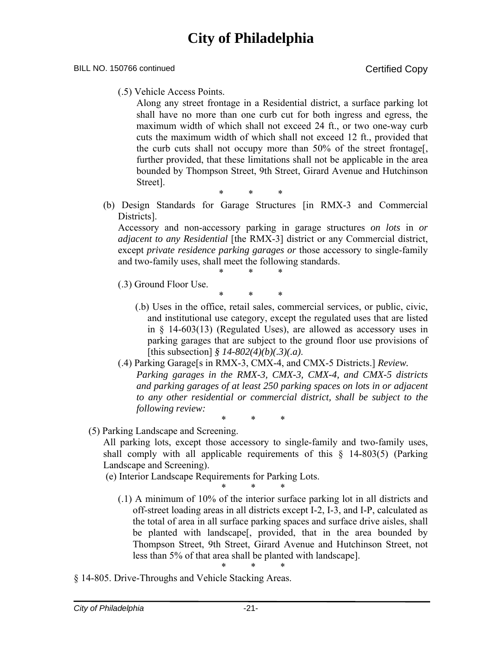#### BILL NO. 150766 continued Certified Copy

(.5) Vehicle Access Points.

Along any street frontage in a Residential district, a surface parking lot shall have no more than one curb cut for both ingress and egress, the maximum width of which shall not exceed 24 ft., or two one-way curb cuts the maximum width of which shall not exceed 12 ft., provided that the curb cuts shall not occupy more than 50% of the street frontage[, further provided, that these limitations shall not be applicable in the area bounded by Thompson Street, 9th Street, Girard Avenue and Hutchinson Street].

\* \* \*

(b) Design Standards for Garage Structures [in RMX-3 and Commercial Districts].

Accessory and non-accessory parking in garage structures *on lots* in *or adjacent to any Residential* [the RMX-3] district or any Commercial district, except *private residence parking garages or* those accessory to single-family and two-family uses, shall meet the following standards. \* \* \*

- (.3) Ground Floor Use.
	- \* \* \* (.b) Uses in the office, retail sales, commercial services, or public, civic, and institutional use category, except the regulated uses that are listed in § 14-603(13) (Regulated Uses), are allowed as accessory uses in parking garages that are subject to the ground floor use provisions of [this subsection] *§ 14-802(4)(b)(.3)(.a)*.
- (.4) Parking Garage[s in RMX-3, CMX-4, and CMX-5 Districts.] *Review. Parking garages in the RMX-3, CMX-3, CMX-4, and CMX-5 districts and parking garages of at least 250 parking spaces on lots in or adjacent to any other residential or commercial district, shall be subject to the following review:*

\* \* \*

(5) Parking Landscape and Screening.

All parking lots, except those accessory to single-family and two-family uses, shall comply with all applicable requirements of this § 14-803(5) (Parking Landscape and Screening).

(e) Interior Landscape Requirements for Parking Lots.

- \* \* \*
- (.1) A minimum of 10% of the interior surface parking lot in all districts and off-street loading areas in all districts except I-2, I-3, and I-P, calculated as the total of area in all surface parking spaces and surface drive aisles, shall be planted with landscape[, provided, that in the area bounded by Thompson Street, 9th Street, Girard Avenue and Hutchinson Street, not less than 5% of that area shall be planted with landscape].
- § 14-805. Drive-Throughs and Vehicle Stacking Areas.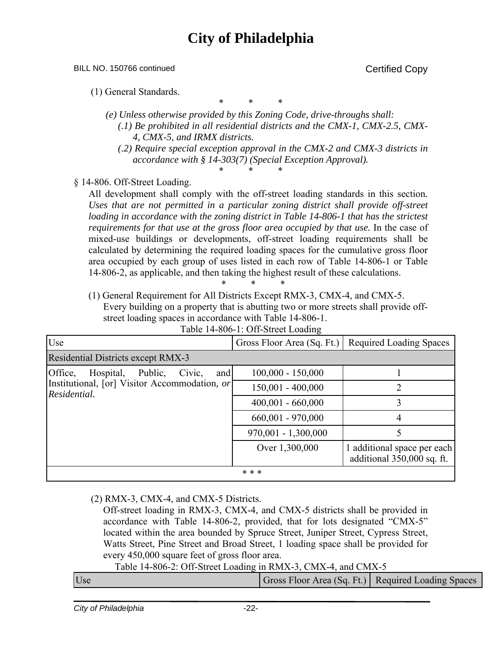BILL NO. 150766 continued Copy

(1) General Standards.

\* \* \*

- *(e) Unless otherwise provided by this Zoning Code, drive-throughs shall: (.1) Be prohibited in all residential districts and the CMX-1, CMX-2.5, CMX-4, CMX-5, and IRMX districts.* 
	- *(.2) Require special exception approval in the CMX-2 and CMX-3 districts in accordance with § 14-303(7) (Special Exception Approval).*  \* \* \*

§ 14-806. Off-Street Loading.

All development shall comply with the off-street loading standards in this section*.*  Uses that are not permitted in a particular zoning district shall provide off-street loading in accordance with the zoning district in Table 14-806-1 that has the strictest *requirements for that use at the gross floor area occupied by that use.* In the case of mixed-use buildings or developments, off-street loading requirements shall be calculated by determining the required loading spaces for the cumulative gross floor area occupied by each group of uses listed in each row of Table 14-806-1 or Table 14-806-2, as applicable, and then taking the highest result of these calculations. \* \* \*

(1) General Requirement for All Districts Except RMX-3, CMX-4, and CMX-5. Every building on a property that is abutting two or more streets shall provide offstreet loading spaces in accordance with Table 14-806-1.

| $14010 + 1000 + 10011$                                        |                            |                                                           |  |
|---------------------------------------------------------------|----------------------------|-----------------------------------------------------------|--|
| Use                                                           | Gross Floor Area (Sq. Ft.) | Required Loading Spaces                                   |  |
| <b>Residential Districts except RMX-3</b>                     |                            |                                                           |  |
| Office,<br>Hospital,<br>Public,<br>Civic,<br>and              | $100,000 - 150,000$        |                                                           |  |
| Institutional, [or] Visitor Accommodation, or<br>Residential. | $150,001 - 400,000$        |                                                           |  |
|                                                               | $400,001 - 660,000$        |                                                           |  |
|                                                               | $660,001 - 970,000$        | 4                                                         |  |
|                                                               | $970,001 - 1,300,000$      |                                                           |  |
|                                                               | Over 1,300,000             | 1 additional space per each<br>additional 350,000 sq. ft. |  |
|                                                               | * * *                      |                                                           |  |

Table 14-806-1: Off-Street Loading

### (2) RMX-3, CMX-4, and CMX-5 Districts.

Off-street loading in RMX-3, CMX-4, and CMX-5 districts shall be provided in accordance with Table 14-806-2, provided, that for lots designated "CMX-5" located within the area bounded by Spruce Street, Juniper Street, Cypress Street, Watts Street, Pine Street and Broad Street, 1 loading space shall be provided for every 450,000 square feet of gross floor area.  $T<sub>1</sub>11<sub>2</sub>14<sub>3</sub>006<sub>2</sub>$ . Off-Street Loading in RMX-3, CMX-4, and CMX-5

|     | Table 14-806-2: OII-Street Loading in $KMX-3$ , CMX-4, and CMX-5 |                                                    |  |
|-----|------------------------------------------------------------------|----------------------------------------------------|--|
| Use |                                                                  | Gross Floor Area (Sq. Ft.) Required Loading Spaces |  |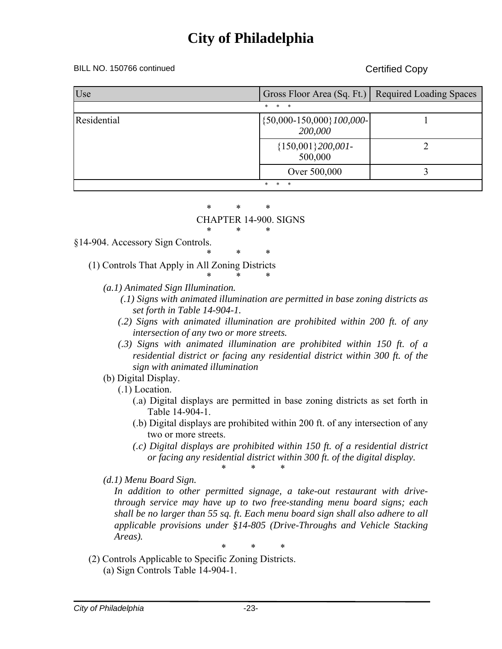#### BILL NO. 150766 continued Copy

| Use         | Gross Floor Area (Sq. Ft.) Required Loading Spaces |  |
|-------------|----------------------------------------------------|--|
|             | $\ast$<br>$\ast$<br>$\ast$                         |  |
| Residential | $\{50,000 - 150,000\}$ 100,000-<br>200,000         |  |
|             | ${150,001}200,001$ -<br>500,000                    |  |
|             | Over 500,000                                       |  |
|             | $\ast$<br>$\ast$<br>*.                             |  |

#### \* \* \* CHAPTER 14-900. SIGNS

#### \* \* \* §14-904. Accessory Sign Controls.

\* \* \* (1) Controls That Apply in All Zoning Districts

#### \* \* \* *(a.1) Animated Sign Illumination.*

- *(.1) Signs with animated illumination are permitted in base zoning districts as set forth in Table 14-904-1.*
- *(.2) Signs with animated illumination are prohibited within 200 ft. of any intersection of any two or more streets.*
- *(.3) Signs with animated illumination are prohibited within 150 ft. of a residential district or facing any residential district within 300 ft. of the sign with animated illumination*

### (b) Digital Display.

(.1) Location.

- (.a) Digital displays are permitted in base zoning districts as set forth in Table 14-904-1.
- (.b) Digital displays are prohibited within 200 ft. of any intersection of any two or more streets.
- *(.c) Digital displays are prohibited within 150 ft. of a residential district or facing any residential district within 300 ft. of the digital display.*  \* \* \*

### *(d.1) Menu Board Sign.*

*In addition to other permitted signage, a take-out restaurant with drivethrough service may have up to two free-standing menu board signs; each shall be no larger than 55 sq. ft. Each menu board sign shall also adhere to all applicable provisions under §14-805 (Drive-Throughs and Vehicle Stacking Areas).* 

- (2) Controls Applicable to Specific Zoning Districts.
	- (a) Sign Controls Table 14-904-1.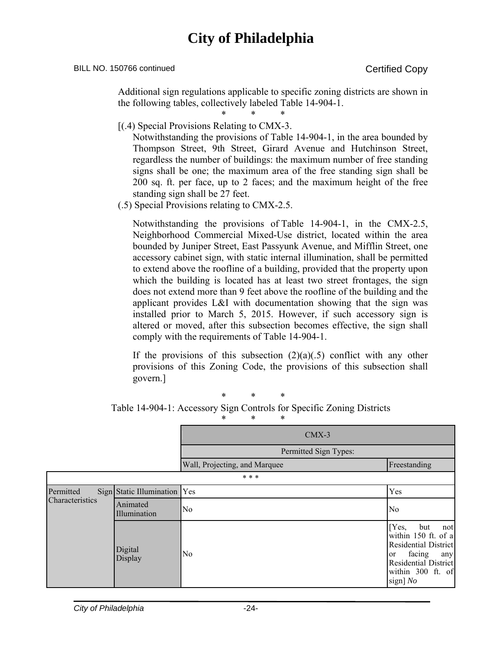BILL NO. 150766 continued Certified Copy

Additional sign regulations applicable to specific zoning districts are shown in the following tables, collectively labeled Table 14-904-1.

\* \* \*

[(.4) Special Provisions Relating to CMX-3.

Notwithstanding the provisions of Table 14-904-1, in the area bounded by Thompson Street, 9th Street, Girard Avenue and Hutchinson Street, regardless the number of buildings: the maximum number of free standing signs shall be one; the maximum area of the free standing sign shall be 200 sq. ft. per face, up to 2 faces; and the maximum height of the free standing sign shall be 27 feet.

(.5) Special Provisions relating to CMX-2.5.

Notwithstanding the provisions of Table 14-904-1, in the CMX-2.5, Neighborhood Commercial Mixed-Use district, located within the area bounded by Juniper Street, East Passyunk Avenue, and Mifflin Street, one accessory cabinet sign, with static internal illumination, shall be permitted to extend above the roofline of a building, provided that the property upon which the building is located has at least two street frontages, the sign does not extend more than 9 feet above the roofline of the building and the applicant provides L&I with documentation showing that the sign was installed prior to March 5, 2015. However, if such accessory sign is altered or moved, after this subsection becomes effective, the sign shall comply with the requirements of Table 14-904-1.

If the provisions of this subsection  $(2)(a)(.5)$  conflict with any other provisions of this Zoning Code, the provisions of this subsection shall govern.]

\* \* \*

Table 14-904-1: Accessory Sign Controls for Specific Zoning Districts

|                             |                          | $CMX-3$                       |                                                                                                                                                    |
|-----------------------------|--------------------------|-------------------------------|----------------------------------------------------------------------------------------------------------------------------------------------------|
|                             |                          | Permitted Sign Types:         |                                                                                                                                                    |
|                             |                          | Wall, Projecting, and Marquee | Freestanding                                                                                                                                       |
|                             |                          | * * *                         |                                                                                                                                                    |
| Permitted                   | Sign Static Illumination | Yes                           | Yes                                                                                                                                                |
| Characteristics<br>Animated | Illumination             | No                            | No                                                                                                                                                 |
|                             | Digital<br>Display       | N <sub>0</sub>                | [Yes,<br>but<br>not<br>within 150 ft. of a<br>Residential District<br>facing<br>any<br>or<br>Residential District<br>within 300 ft. of<br>sign] No |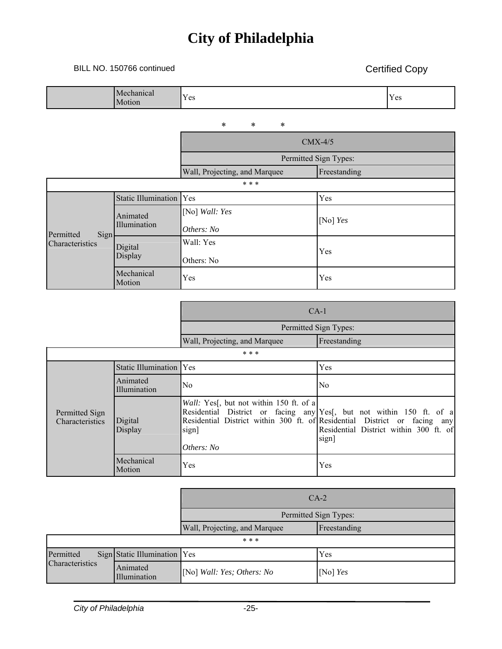### BILL NO. 150766 continued Certified Copy

٦

|                         | Mechanical<br>Motion     | Yes                           | Yes          |
|-------------------------|--------------------------|-------------------------------|--------------|
|                         |                          | $\ast$<br>$\ast$<br>$\ast$    |              |
|                         |                          | $CMX-4/5$                     |              |
|                         |                          | Permitted Sign Types:         |              |
|                         |                          | Wall, Projecting, and Marquee | Freestanding |
| * * *                   |                          |                               |              |
|                         | Static Illumination      | Yes                           | Yes          |
| Permitted               | Animated<br>Illumination | [No] Wall: Yes<br>Others: No  | [No] $Yes$   |
| Sign<br>Characteristics | Digital<br>Display       | Wall: Yes<br>Others: No       | Yes          |
|                         | Mechanical<br>Motion     | Yes                           | Yes          |
|                         |                          |                               |              |

| Permitted Sign Types:             |                          |                                                                               |                                                                                                                                                                                                     |
|-----------------------------------|--------------------------|-------------------------------------------------------------------------------|-----------------------------------------------------------------------------------------------------------------------------------------------------------------------------------------------------|
|                                   |                          | Wall, Projecting, and Marquee                                                 | Freestanding                                                                                                                                                                                        |
|                                   |                          | * * *                                                                         |                                                                                                                                                                                                     |
|                                   | Static Illumination      | Yes                                                                           | Yes                                                                                                                                                                                                 |
|                                   | Animated<br>Illumination | No.                                                                           | N <sub>0</sub>                                                                                                                                                                                      |
| Permitted Sign<br>Characteristics | Digital<br>Display       | Wall: Yes <sup>[1]</sup> , but not within 150 ft. of a<br>sign]<br>Others: No | Residential District or facing any Yes[, but not within 150 ft. of a<br>Residential District within 300 ft. of Residential District or facing any<br>Residential District within 300 ft. of<br>sign |
|                                   | Mechanical<br>Motion     | Yes                                                                           | Yes                                                                                                                                                                                                 |

CA-1

|                 |                              | $CA-2$                            |              |
|-----------------|------------------------------|-----------------------------------|--------------|
|                 |                              | Permitted Sign Types:             |              |
|                 |                              | Wall, Projecting, and Marquee     | Freestanding |
|                 | * * *                        |                                   |              |
| Permitted       | Sign Static Illumination Yes |                                   | Yes          |
| Characteristics | Animated<br>Illumination     | [No] <i>Wall: Yes; Others: No</i> | [No] $Yes$   |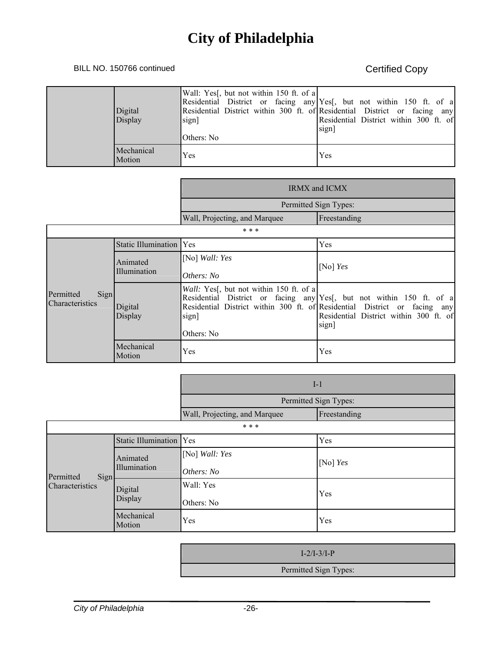### BILL NO. 150766 continued Certified Copy

| Digital<br>Display   | Wall: Yes <sup>[1]</sup> , but not within 150 ft. of a<br>sign]<br>Others: No | Residential District or facing any Yes <sup>[1]</sup> , but not within 150 ft. of a<br>Residential District within 300 ft. of Residential District or facing any<br>Residential District within 300 ft. of<br>sign |
|----------------------|-------------------------------------------------------------------------------|--------------------------------------------------------------------------------------------------------------------------------------------------------------------------------------------------------------------|
| Mechanical<br>Motion | Yes                                                                           | Yes                                                                                                                                                                                                                |

|                                      |                          | <b>IRMX</b> and <b>ICMX</b>                                                   |                                                                                                                                                                                                      |
|--------------------------------------|--------------------------|-------------------------------------------------------------------------------|------------------------------------------------------------------------------------------------------------------------------------------------------------------------------------------------------|
|                                      |                          | Permitted Sign Types:                                                         |                                                                                                                                                                                                      |
|                                      |                          | Wall, Projecting, and Marquee                                                 | Freestanding                                                                                                                                                                                         |
|                                      |                          | * * *                                                                         |                                                                                                                                                                                                      |
|                                      | Static Illumination Yes  |                                                                               | Yes                                                                                                                                                                                                  |
|                                      | Animated<br>Illumination | [No] Wall: Yes<br>Others: No                                                  | [No] $Yes$                                                                                                                                                                                           |
| Sign<br>Permitted<br>Characteristics | Digital<br>Display       | Wall: Yes <sup>[1]</sup> , but not within 150 ft. of a<br>sign]<br>Others: No | Residential District or facing any Yes[, but not within 150 ft. of a<br>Residential District within 300 ft. of Residential District or facing any<br>Residential District within 300 ft. of<br>sign] |
|                                      | Mechanical<br>Motion     | Yes                                                                           | Yes                                                                                                                                                                                                  |

|                                      |                          | $I-1$                         |              |  |  |  |
|--------------------------------------|--------------------------|-------------------------------|--------------|--|--|--|
|                                      |                          | Permitted Sign Types:         |              |  |  |  |
|                                      |                          | Wall, Projecting, and Marquee | Freestanding |  |  |  |
| * * *                                |                          |                               |              |  |  |  |
| Permitted<br>Sign<br>Characteristics | Static Illumination      | <b>Yes</b>                    | Yes          |  |  |  |
|                                      | Animated<br>Illumination | [No] Wall: Yes                | [No] $Yes$   |  |  |  |
|                                      |                          | Others: No                    |              |  |  |  |
|                                      | Digital<br>Display       | Wall: Yes                     | Yes          |  |  |  |
|                                      |                          | Others: No                    |              |  |  |  |
|                                      | Mechanical<br>Motion     | Yes                           | Yes          |  |  |  |

| $I-2/I-3/I-P$         |  |
|-----------------------|--|
| Permitted Sign Types: |  |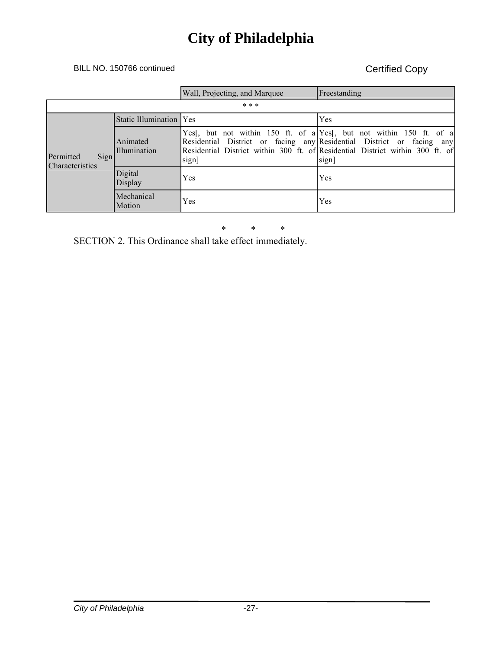### BILL NO. 150766 continued Certified Copy

|                                             |                           | Wall, Projecting, and Marquee                                              | Freestanding                                                                                                                                                                                  |  |  |  |
|---------------------------------------------|---------------------------|----------------------------------------------------------------------------|-----------------------------------------------------------------------------------------------------------------------------------------------------------------------------------------------|--|--|--|
| * * *                                       |                           |                                                                            |                                                                                                                                                                                               |  |  |  |
| Sign<br>Permitted<br><b>Characteristics</b> | Static Illumination   Yes |                                                                            | Yes                                                                                                                                                                                           |  |  |  |
|                                             | Animated<br>Illumination  | Residential District or facing any Residential District or facing<br>sign] | Yes <sup>[, but not within 150 ft.</sup> of a Yes <sup>[, but not within 150 ft. of a]</sup><br>any<br>Residential District within 300 ft. of Residential District within 300 ft. of<br>sign] |  |  |  |
|                                             | Digital<br>Display        | Yes                                                                        | Yes                                                                                                                                                                                           |  |  |  |
|                                             | Mechanical<br>Motion      | Yes                                                                        | Yes                                                                                                                                                                                           |  |  |  |

\* \* \*

SECTION 2. This Ordinance shall take effect immediately.